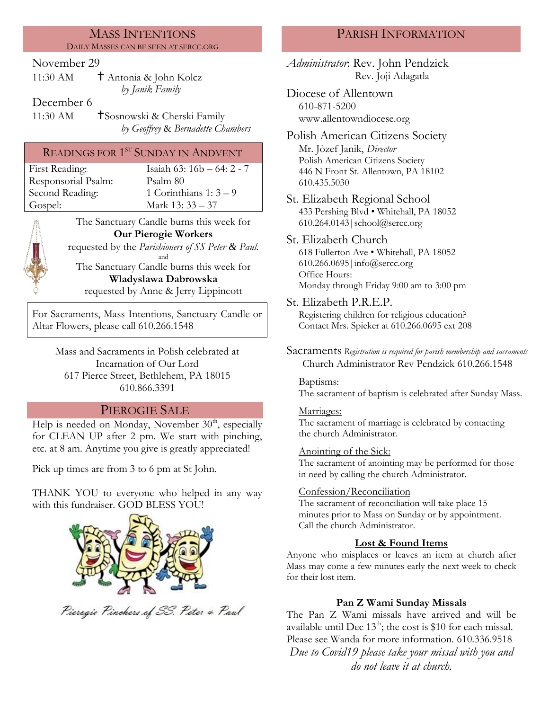#### MASS INTENTIONS DAILY MASSES CAN BE SEEN AT SERCC.ORG

## November 29

| 11:30 AM | † Antonia & John Kolcz |
|----------|------------------------|
|          | by Janik Family        |

## December 6

11:30 AM **S**osnowski & Cherski Family *by Geoffrey* & *Bernadette Chambers*

# READINGS FOR 1<sup>st</sup> SUNDAY IN ANDVENT

| First Reading:      |
|---------------------|
| Responsorial Psalm: |
| Second Reading:     |
| Gospel:             |

Isaiah 63:  $16b - 64: 2 - 7$ Psalm: 80 1 Corinthians 1:  $3 - 9$ Mark 13: 33 – 37

The Sanctuary Candle burns this week for **Our Pierogie Workers** requested by the *Parishioners of SS Peter & Paul.* and

The Sanctuary Candle burns this week for **Wladyslawa Dabrowska**

requested by Anne & Jerry Lippincott

For Sacraments, Mass Intentions, Sanctuary Candle or Altar Flowers, please call 610.266.1548

> Mass and Sacraments in Polish celebrated at Incarnation of Our Lord 617 Pierce Street, Bethlehem, PA 18015 610.866.3391

# PIEROGIE SALE

Help is needed on Monday, November  $30<sup>th</sup>$ , especially for CLEAN UP after 2 pm. We start with pinching, etc. at 8 am. Anytime you give is greatly appreciated!

Pick up times are from 3 to 6 pm at St John.

THANK YOU to everyone who helped in any way with this fundraiser. GOD BLESS YOU!



Pieragie Pinchers of SS. Peter & Paul

# PARISH INFORMATION

*Administrator*: Rev. John Pendzick Rev. Joji Adagatla

Diocese of Allentown 610-871-5200 www.allentowndiocese.org

Polish American Citizens Society Mr. Jòzef Janik, *Director* Polish American Citizens Society 446 N Front St. Allentown, PA 18102 610.435.5030

St. Elizabeth Regional School 433 Pershing Blvd • Whitehall, PA 18052 610.264.0143|school@sercc.org

#### St. Elizabeth Church 618 Fullerton Ave • Whitehall, PA 18052 610.266.0695|info@sercc.org Office Hours:

Monday through Friday 9:00 am to 3:00 pm

St. Elizabeth P.R.E.P.

Registering children for religious education? Contact Mrs. Spieker at 610.266.0695 ext 208

Sacraments *Registration is required for parish membership and sacraments* Church Administrator Rev Pendzick 610.266.1548

### Baptisms:

The sacrament of baptism is celebrated after Sunday Mass.

## Marriages:

The sacrament of marriage is celebrated by contacting the church Administrator.

### Anointing of the Sick:

The sacrament of anointing may be performed for those in need by calling the church Administrator.

## Confession/Reconciliation

The sacrament of reconciliation will take place 15 minutes prior to Mass on Sunday or by appointment. Call the church Administrator.

# **Lost & Found Items**

Anyone who misplaces or leaves an item at church after Mass may come a few minutes early the next week to check for their lost item.

# **Pan Z Wami Sunday Missals**

The Pan Z Wami missals have arrived and will be available until Dec  $13<sup>th</sup>$ ; the cost is \$10 for each missal. Please see Wanda for more information. 610.336.9518 *Due to Covid19 please take your missal with you and do not leave it at church.*